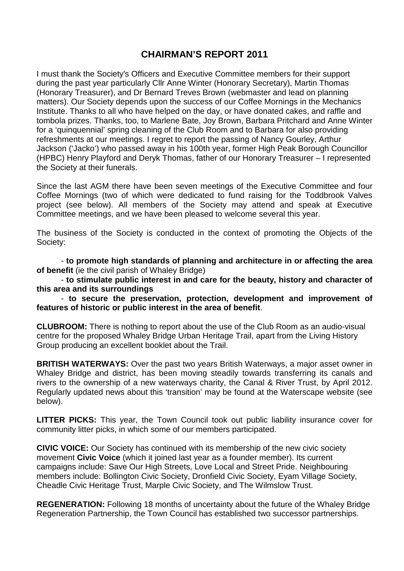## **CHAIRMAN'S REPORT 2011**

I must thank the Society's Officers and Executive Committee members for their support during the past year particularly Cllr Anne Winter (Honorary Secretary), Martin Thomas (Honorary Treasurer), and Dr Bernard Treves Brown (webmaster and lead on planning matters). Our Society depends upon the success of our Coffee Mornings in the Mechanics Institute. Thanks to all who have helped on the day, or have donated cakes, and raffle and tombola prizes. Thanks, too, to Marlene Bate, Joy Brown, Barbara Pritchard and Anne Winter for a 'quinquennial' spring cleaning of the Club Room and to Barbara for also providing refreshments at our meetings. I regret to report the passing of Nancy Gourley, Arthur Jackson ('Jacko') who passed away in his 100th year, former High Peak Borough Councillor (HPBC) Henry Playford and Deryk Thomas, father of our Honorary Treasurer – I represented the Society at their funerals.

Since the last AGM there have been seven meetings of the Executive Committee and four Coffee Mornings (two of which were dedicated to fund raising for the Toddbrook Valves project (see below). All members of the Society may attend and speak at Executive Committee meetings, and we have been pleased to welcome several this year.

The business of the Society is conducted in the context of promoting the Objects of the Society:

- **to promote high standards of planning and architecture in or affecting the area of benefit** (ie the civil parish of Whaley Bridge)

- **to stimulate public interest in and care for the beauty, history and character of this area and its surroundings**

- **to secure the preservation, protection, development and improvement of features of historic or public interest in the area of benefit**.

**CLUBROOM:** There is nothing to report about the use of the Club Room as an audio-visual centre for the proposed Whaley Bridge Urban Heritage Trail, apart from the Living History Group producing an excellent booklet about the Trail.

**BRITISH WATERWAYS:** Over the past two years British Waterways, a major asset owner in Whaley Bridge and district, has been moving steadily towards transferring its canals and rivers to the ownership of a new waterways charity, the Canal & River Trust, by April 2012. Regularly updated news about this 'transition' may be found at the Waterscape website (see below).

**LITTER PICKS:** This year, the Town Council took out public liability insurance cover for community litter picks, in which some of our members participated.

**CIVIC VOICE:** Our Society has continued with its membership of the new civic society movement **Civic Voice** (which it joined last year as a founder member). Its current campaigns include: Save Our High Streets, Love Local and Street Pride. Neighbouring members include: Bollington Civic Society, Dronfield Civic Society, Eyam Village Society, Cheadle Civic Heritage Trust, Marple Civic Society, and The Wilmslow Trust.

**REGENERATION:** Following 18 months of uncertainty about the future of the Whaley Bridge Regeneration Partnership, the Town Council has established two successor partnerships.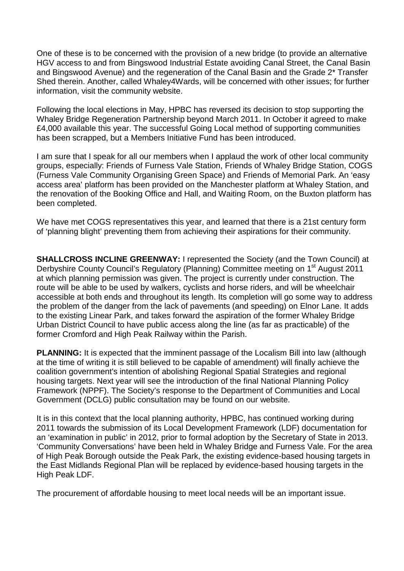One of these is to be concerned with the provision of a new bridge (to provide an alternative HGV access to and from Bingswood Industrial Estate avoiding Canal Street, the Canal Basin and Bingswood Avenue) and the regeneration of the Canal Basin and the Grade 2\* Transfer Shed therein. Another, called Whaley4Wards, will be concerned with other issues; for further information, visit the community website.

Following the local elections in May, HPBC has reversed its decision to stop supporting the Whaley Bridge Regeneration Partnership beyond March 2011. In October it agreed to make £4,000 available this year. The successful Going Local method of supporting communities has been scrapped, but a Members Initiative Fund has been introduced.

I am sure that I speak for all our members when I applaud the work of other local community groups, especially: Friends of Furness Vale Station, Friends of Whaley Bridge Station, COGS (Furness Vale Community Organising Green Space) and Friends of Memorial Park. An 'easy access area' platform has been provided on the Manchester platform at Whaley Station, and the renovation of the Booking Office and Hall, and Waiting Room, on the Buxton platform has been completed.

We have met COGS representatives this year, and learned that there is a 21st century form of 'planning blight' preventing them from achieving their aspirations for their community.

**SHALLCROSS INCLINE GREENWAY:** I represented the Society (and the Town Council) at Derbyshire County Council's Regulatory (Planning) Committee meeting on 1<sup>st</sup> August 2011 at which planning permission was given. The project is currently under construction. The route will be able to be used by walkers, cyclists and horse riders, and will be wheelchair accessible at both ends and throughout its length. Its completion will go some way to address the problem of the danger from the lack of pavements (and speeding) on Elnor Lane. It adds to the existing Linear Park, and takes forward the aspiration of the former Whaley Bridge Urban District Council to have public access along the line (as far as practicable) of the former Cromford and High Peak Railway within the Parish.

**PLANNING:** It is expected that the imminent passage of the Localism Bill into law (although at the time of writing it is still believed to be capable of amendment) will finally achieve the coalition government's intention of abolishing Regional Spatial Strategies and regional housing targets. Next year will see the introduction of the final National Planning Policy Framework (NPPF). The Society's response to the Department of Communities and Local Government (DCLG) public consultation may be found on our website.

It is in this context that the local planning authority, HPBC, has continued working during 2011 towards the submission of its Local Development Framework (LDF) documentation for an 'examination in public' in 2012, prior to formal adoption by the Secretary of State in 2013. 'Community Conversations' have been held in Whaley Bridge and Furness Vale. For the area of High Peak Borough outside the Peak Park, the existing evidence-based housing targets in the East Midlands Regional Plan will be replaced by evidence-based housing targets in the High Peak LDF.

The procurement of affordable housing to meet local needs will be an important issue.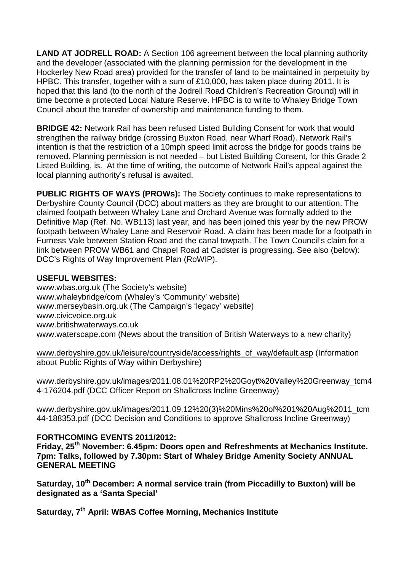**LAND AT JODRELL ROAD:** A Section 106 agreement between the local planning authority and the developer (associated with the planning permission for the development in the Hockerley New Road area) provided for the transfer of land to be maintained in perpetuity by HPBC. This transfer, together with a sum of £10,000, has taken place during 2011. It is hoped that this land (to the north of the Jodrell Road Children's Recreation Ground) will in time become a protected Local Nature Reserve. HPBC is to write to Whaley Bridge Town Council about the transfer of ownership and maintenance funding to them.

**BRIDGE 42:** Network Rail has been refused Listed Building Consent for work that would strengthen the railway bridge (crossing Buxton Road, near Wharf Road). Network Rail's intention is that the restriction of a 10mph speed limit across the bridge for goods trains be removed. Planning permission is not needed – but Listed Building Consent, for this Grade 2 Listed Building, is. At the time of writing, the outcome of Network Rail's appeal against the local planning authority's refusal is awaited.

**PUBLIC RIGHTS OF WAYS (PROWs):** The Society continues to make representations to Derbyshire County Council (DCC) about matters as they are brought to our attention. The claimed footpath between Whaley Lane and Orchard Avenue was formally added to the Definitive Map (Ref. No. WB113) last year, and has been joined this year by the new PROW footpath between Whaley Lane and Reservoir Road. A claim has been made for a footpath in Furness Vale between Station Road and the canal towpath. The Town Council's claim for a link between PROW WB61 and Chapel Road at Cadster is progressing. See also (below): DCC's Rights of Way Improvement Plan (RoWIP).

## **USEFUL WEBSITES:**

www.wbas.org.uk (The Society's website) [www.whaleybridge/com](http://www.whaleybridge/com) (Whaley's 'Community' website) www.merseybasin.org.uk (The Campaign's 'legacy' website) www.civicvoice.org.uk www.britishwaterways.co.uk www.waterscape.com (News about the transition of British Waterways to a new charity)

[www.derbyshire.gov.uk/leisure/countryside/access/rights\\_of\\_way/default.asp](http://www.derbyshire.gov.uk/leisure/countryside/access/rights_of_way/default.asp) (Information about Public Rights of Way within Derbyshire)

www.derbyshire.gov.uk/images/2011.08.01%20RP2%20Goyt%20Valley%20Greenway\_tcm4 4-176204.pdf (DCC Officer Report on Shallcross Incline Greenway)

www.derbyshire.gov.uk/images/2011.09.12%20(3)%20Mins%20of%201%20Aug%2011\_tcm 44-188353.pdf (DCC Decision and Conditions to approve Shallcross Incline Greenway)

## **FORTHCOMING EVENTS 2011/2012:**

**Friday, 25th November: 6.45pm: Doors open and Refreshments at Mechanics Institute. 7pm: Talks, followed by 7.30pm: Start of Whaley Bridge Amenity Society ANNUAL GENERAL MEETING**

**Saturday, 10th December: A normal service train (from Piccadilly to Buxton) will be designated as a 'Santa Special'**

**Saturday, 7th April: WBAS Coffee Morning, Mechanics Institute**